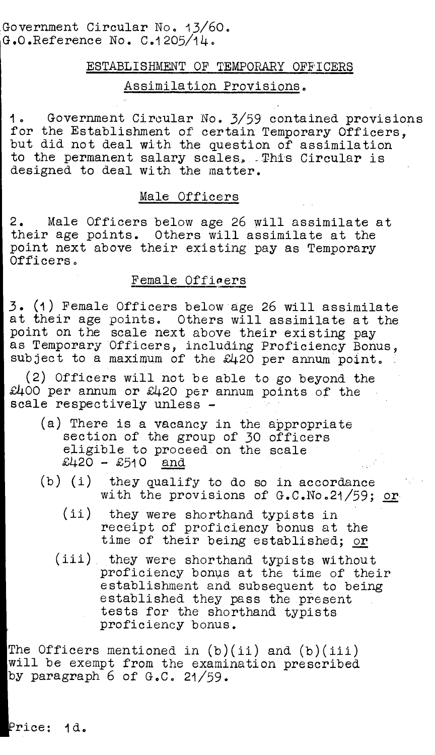Government Circular No. 13/60. G.O.Reference No. C.1205/14.

### ESTABLISHMENT OF TEMPORARY OFFICERS

# Assimilation Provisions.

1. Government Circular No. 3/59 contained provisions for the Establishment of certain Temporary Officers. but did not deal with the question of assimilation to the permanent salary scales. This Circular is designed to deal with the matter.

### Male Officers

2. Male Officers below age 26 will assimilate at their age points. Others will assimilate at the point next above their existing pay as Temporary Officers.

# Female Officers

3. (1) Female Officers below age 26 will assimilate at their age points. Others will assimilate at the point on the scale next above their existing pay as Temporary Officers, including Proficiency Bonus, subject to a maximum of the £420 per annum point.

(2) Officers will not be able to go beyond the  $£400$  per annum or  $£420$  per annum points of the scale respectively unless -

- (a) There is a vacancy in the appropriate section of the group of 30 officers eligible to proceed on the scale<br> $\pounds420 - \pounds510$  and  $£420 - £510$
- (b) (i) they qualify to do so in accordance with the provisions of G.C.No.21/59; or
	- (ii) they were shorthand typists in receipt of proficiency bonus at the time of their being established; or
	- (iii) they were shorthand typists without proficiency bonus at the time of their establishment and subsequent to being established they pass the present tests for the shorthand typists proficiency bonus.

The Officers mentioned in  $(b)(ii)$  and  $(b)(iii)$ will be exempt from the examination prescribed by paragraph 6 of G.C. 21/59.

Price: 1d.